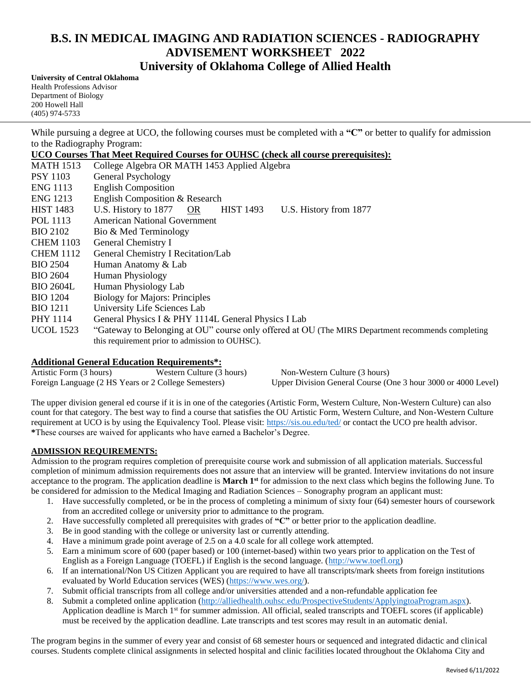## **B.S. IN MEDICAL IMAGING AND RADIATION SCIENCES - RADIOGRAPHY ADVISEMENT WORKSHEET 2022 University of Oklahoma College of Allied Health**

**University of Central Oklahoma** Health Professions Advisor Department of Biology 200 Howell Hall (405) 974-5733

While pursuing a degree at UCO, the following courses must be completed with a "C" or better to qualify for admission to the Radiography Program:

**UCO Courses That Meet Required Courses for OUHSC (check all course prerequisites):**

| <b>MATH 1513</b> | College Algebra OR MATH 1453 Applied Algebra                                                      |
|------------------|---------------------------------------------------------------------------------------------------|
| <b>PSY 1103</b>  | General Psychology                                                                                |
| <b>ENG</b> 1113  | <b>English Composition</b>                                                                        |
| <b>ENG</b> 1213  | English Composition & Research                                                                    |
| <b>HIST 1483</b> | U.S. History to 1877 OR<br><b>HIST 1493</b><br>U.S. History from 1877                             |
| POL 1113         | American National Government                                                                      |
| <b>BIO 2102</b>  | Bio & Med Terminology                                                                             |
| <b>CHEM 1103</b> | General Chemistry I                                                                               |
| <b>CHEM 1112</b> | General Chemistry I Recitation/Lab                                                                |
| <b>BIO 2504</b>  | Human Anatomy & Lab                                                                               |
| <b>BIO 2604</b>  | <b>Human Physiology</b>                                                                           |
| <b>BIO 2604L</b> | Human Physiology Lab                                                                              |
| <b>BIO 1204</b>  | <b>Biology for Majors: Principles</b>                                                             |
| <b>BIO</b> 1211  | University Life Sciences Lab                                                                      |
| PHY 1114         | General Physics I & PHY 1114L General Physics I Lab                                               |
| <b>UCOL</b> 1523 | "Gateway to Belonging at OU" course only offered at OU (The MIRS Department recommends completing |
|                  | this requirement prior to admission to OUHSC).                                                    |

## **Additional General Education Requirements\*:**

Artistic Form (3 hours) Western Culture (3 hours) Non-Western Culture (3 hours) Foreign Language (2 HS Years or 2 College Semesters) Upper Division General Course (One 3 hour 3000 or 4000 Level)

The upper division general ed course if it is in one of the categories (Artistic Form, Western Culture, Non-Western Culture) can also count for that category. The best way to find a course that satisfies the OU Artistic Form, Western Culture, and Non-Western Culture requirement at UCO is by using the Equivalency Tool. Please visit: https://sis.ou.edu/ted/ or contact the UCO pre health advisor. **\***These courses are waived for applicants who have earned a Bachelor's Degree.

## **ADMISSION REQUIREMENTS:**

Admission to the program requires completion of prerequisite course work and submission of all application materials. Successful completion of minimum admission requirements does not assure that an interview will be granted. Interview invitations do not insure acceptance to the program. The application deadline is **March 1st** for admission to the next class which begins the following June. To be considered for admission to the Medical Imaging and Radiation Sciences – Sonography program an applicant must:

- 1. Have successfully completed, or be in the process of completing a minimum of sixty four (64) semester hours of coursework from an accredited college or university prior to admittance to the program.
- 2. Have successfully completed all prerequisites with grades of **"C"** or better prior to the application deadline.
- 3. Be in good standing with the college or university last or currently attending.
- 4. Have a minimum grade point average of 2.5 on a 4.0 scale for all college work attempted.
- 5. Earn a minimum score of 600 (paper based) or 100 (internet-based) within two years prior to application on the Test of English as a Foreign Language (TOEFL) if English is the second language. (http://www.toefl.org)
- 6. If an international/Non US Citizen Applicant you are required to have all transcripts/mark sheets from foreign institutions evaluated by World Education services (WES) (https://www.wes.org/).
- 7. Submit official transcripts from all college and/or universities attended and a non-refundable application fee
- 8. Submit a completed online application (http://alliedhealth.ouhsc.edu/ProspectiveStudents/ApplyingtoaProgram.aspx). Application deadline is March 1<sup>st</sup> for summer admission. All official, sealed transcripts and TOEFL scores (if applicable) must be received by the application deadline. Late transcripts and test scores may result in an automatic denial.

The program begins in the summer of every year and consist of 68 semester hours or sequenced and integrated didactic and clinical courses. Students complete clinical assignments in selected hospital and clinic facilities located throughout the Oklahoma City and